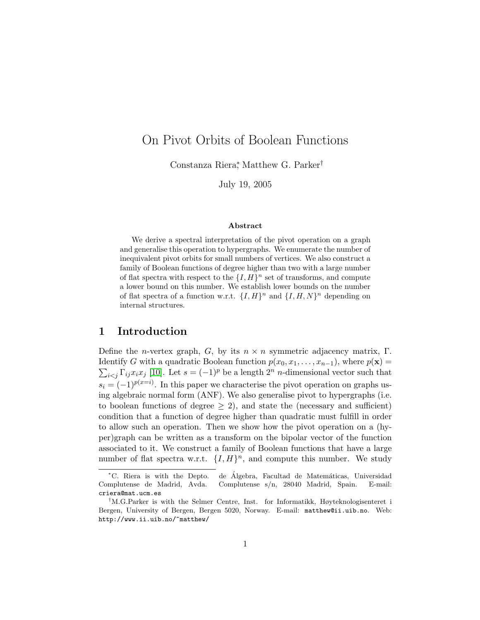# On Pivot Orbits of Boolean Functions

Constanza Riera<sup>∗</sup> , Matthew G. Parker†

July 19, 2005

#### Abstract

We derive a spectral interpretation of the pivot operation on a graph and generalise this operation to hypergraphs. We enumerate the number of inequivalent pivot orbits for small numbers of vertices. We also construct a family of Boolean functions of degree higher than two with a large number of flat spectra with respect to the  $\{I, H\}^n$  set of transforms, and compute a lower bound on this number. We establish lower bounds on the number of flat spectra of a function w.r.t.  $\{I, H\}^n$  and  $\{I, H, N\}^n$  depending on internal structures.

## 1 Introduction

Define the *n*-vertex graph, G, by its  $n \times n$  symmetric adjacency matrix, Γ. Identify G with a quadratic Boolean function  $p(x_0, x_1, \ldots, x_{n-1})$ , where  $p(\mathbf{x}) =$  $\sum_{i < j} \Gamma_{ij} x_i x_j$  [\[10\]](#page-5-0). Let  $s = (-1)^p$  be a length  $2^n$  *n*-dimensional vector such that  $s_i = (-1)^{p(x=i)}$ . In this paper we characterise the pivot operation on graphs using algebraic normal form (ANF). We also generalise pivot to hypergraphs (i.e. to boolean functions of degree  $\geq$  2), and state the (necessary and sufficient) condition that a function of degree higher than quadratic must fulfill in order to allow such an operation. Then we show how the pivot operation on a (hyper)graph can be written as a transform on the bipolar vector of the function associated to it. We construct a family of Boolean functions that have a large number of flat spectra w.r.t.  $\{I, H\}^n$ , and compute this number. We study

<sup>\*</sup>C. Riera is with the Depto. de Algebra, Facultad de Matemáticas, Universidad Complutense de Madrid, Avda. Complutense s/n, 28040 Madrid, Spain. E-mail: criera@mat.ucm.es

<sup>†</sup>M.G.Parker is with the Selmer Centre, Inst. for Informatikk, Høyteknologisenteret i Bergen, University of Bergen, Bergen 5020, Norway. E-mail: matthew@ii.uib.no. Web: http://www.ii.uib.no/~matthew/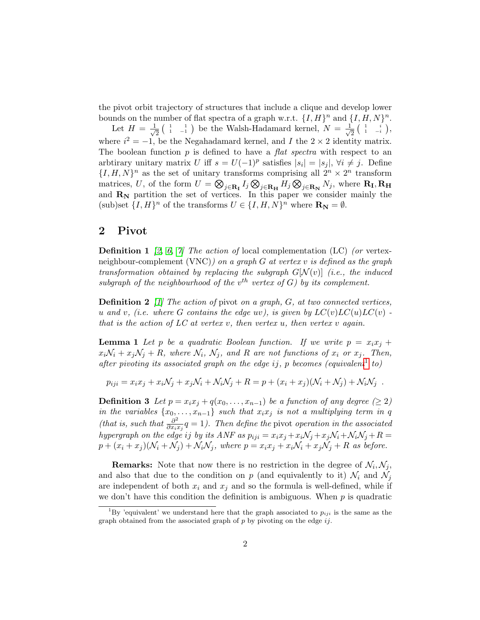the pivot orbit trajectory of structures that include a clique and develop lower bounds on the number of flat spectra of a graph w.r.t.  $\{I, H\}^n$  and  $\{I, H, N\}^n$ .

Let  $H = \frac{1}{\sqrt{2}}$  $\frac{1}{2}$  ( $\frac{1}{1}$   $\frac{1}{-1}$ ) be the Walsh-Hadamard kernel,  $N = \frac{1}{\sqrt{2}}$  $\frac{1}{2} \left( \begin{array}{cc} 1 & i \ 1 & -i \end{array} \right),$ where  $i^2 = -1$ , be the Negahadamard kernel, and I the  $2 \times 2$  identity matrix. The boolean function  $p$  is defined to have a *flat spectra* with respect to an arbtirary unitary matrix U iff  $s = U(-1)^p$  satisfies  $|s_i| = |s_j|, \forall i \neq j$ . Define  $\{I, H, N\}^n$  as the set of unitary transforms comprising all  $2^n \times 2^n$  transform matrices, U, of the form  $U = \bigotimes_{j \in \mathbf{R}_{\mathbf{I}}} I_j \bigotimes_{j \in \mathbf{R}_{\mathbf{H}}} H_j \bigotimes_{j \in \mathbf{R}_{\mathbf{N}}} N_j$ , where  $\mathbf{R}_{\mathbf{I}}, \mathbf{R}_{\mathbf{H}}$ and  $\mathbf{R}_{N}$  partition the set of vertices. In this paper we consider mainly the (sub)set  $\{I, H\}^n$  of the transforms  $U \in \{I, H, N\}^n$  where  $\mathbf{R}_{\mathbf{N}} = \emptyset$ .

### 2 Pivot

**Definition 1** [\[2,](#page-5-1) [6,](#page-5-2) [7\]](#page-5-3) The action of local complementation (LC) (or vertexneighbour-complement (VNC)) on a graph G at vertex v is defined as the graph transformation obtained by replacing the subgraph  $G[N(v)]$  (i.e., the induced subgraph of the neighbourhood of the  $v^{th}$  vertex of G) by its complement.

**Definition 2** [\[1\]](#page-4-0) The action of pivot on a graph,  $G$ , at two connected vertices, u and v, (i.e. where G contains the edge uv), is given by  $LC(v)LC(u)LC(v)$ . that is the action of  $LC$  at vertex v, then vertex u, then vertex v again.

**Lemma 1** Let p be a quadratic Boolean function. If we write  $p = x_i x_j +$  $x_i\mathcal{N}_i + x_j\mathcal{N}_j + R$ , where  $\mathcal{N}_i$ ,  $\mathcal{N}_j$ , and R are not functions of  $x_i$  or  $x_j$ . Then, after pivoting its associated graph on the edge ij, p becomes (equivalent<sup>[1](#page-1-0)</sup> to)

$$
p_{iji} = x_i x_j + x_i \mathcal{N}_j + x_j \mathcal{N}_i + \mathcal{N}_i \mathcal{N}_j + R = p + (x_i + x_j)(\mathcal{N}_i + \mathcal{N}_j) + \mathcal{N}_i \mathcal{N}_j.
$$

<span id="page-1-1"></span>**Definition 3** Let  $p = x_i x_j + q(x_0, \ldots, x_{n-1})$  be a function of any degree ( $\geq 2$ ) in the variables  $\{x_0, \ldots, x_{n-1}\}$  such that  $x_i x_j$  is not a multiplying term in q (that is, such that  $\frac{\partial^2}{\partial x^2}$  $\frac{\partial^2}{\partial x_i x_j} q = 1$ ). Then define the pivot operation in the associated hypergraph on the edge ij by its ANF as  $p_{iji} = x_i x_j + x_i \mathcal{N}_j + x_j \mathcal{N}_i + \mathcal{N}_i \mathcal{N}_j + R =$  $p + (x_i + x_j)(\mathcal{N}_i + \mathcal{N}_j) + \mathcal{N}_i\mathcal{N}_j$ , where  $p = x_i x_j + x_i \mathcal{N}_i + x_j \mathcal{N}_j + R$  as before.

**Remarks:** Note that now there is no restriction in the degree of  $\mathcal{N}_i, \mathcal{N}_j$ , and also that due to the condition on p (and equivalently to it)  $\mathcal{N}_i$  and  $\mathcal{N}_j$ are independent of both  $x_i$  and  $x_j$  and so the formula is well-defined, while if we don't have this condition the definition is ambiguous. When  $p$  is quadratic

<span id="page-1-0"></span><sup>&</sup>lt;sup>1</sup>By 'equivalent' we understand here that the graph associated to  $p_{ij}$  is the same as the graph obtained from the associated graph of  $p$  by pivoting on the edge  $ij$ .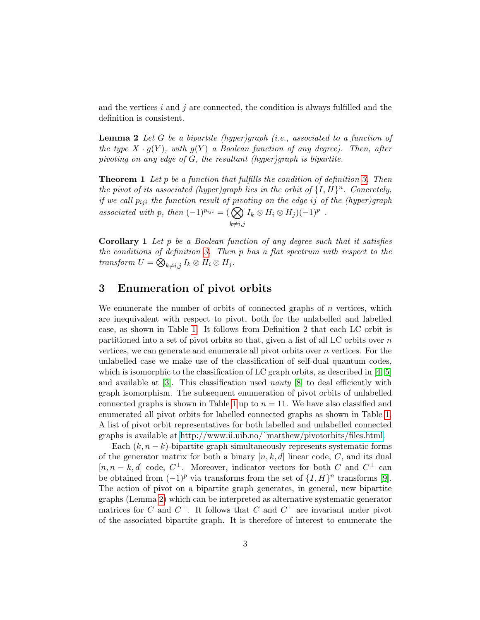and the vertices  $i$  and  $j$  are connected, the condition is always fulfilled and the definition is consistent.

<span id="page-2-0"></span>**Lemma 2** Let G be a bipartite (hyper)graph (i.e., associated to a function of the type  $X \cdot g(Y)$ , with  $g(Y)$  a Boolean function of any degree). Then, after pivoting on any edge of G, the resultant (hyper)graph is bipartite.

**Theorem 1** Let p be a function that fulfills the condition of definition [3.](#page-1-1) Then the pivot of its associated (hyper)graph lies in the orbit of  $\{I, H\}^n$ . Concretely, if we call  $p_{iji}$  the function result of pivoting on the edge ij of the (hyper)graph associated with p, then  $(-1)^{p_{iji}} = (\bigotimes$  $k\neq i,j$  $I_k \otimes H_i \otimes H_j) (-1)^p$ .

**Corollary 1** Let  $p$  be a Boolean function of any degree such that it satisfies the conditions of definition [3.](#page-1-1) Then p has a flat spectrum with respect to the transform  $U = \bigotimes_{k \neq i,j} I_k \otimes H_i \otimes H_j$ .

# 3 Enumeration of pivot orbits

We enumerate the number of orbits of connected graphs of  $n$  vertices, which are inequivalent with respect to pivot, both for the unlabelled and labelled case, as shown in Table [1.](#page-3-0) It follows from Definition 2 that each LC orbit is partitioned into a set of pivot orbits so that, given a list of all LC orbits over  $n$ vertices, we can generate and enumerate all pivot orbits over  $n$  vertices. For the unlabelled case we make use of the classification of self-dual quantum codes, which is isomorphic to the classification of LC graph orbits, as described in  $[4, 5]$  $[4, 5]$ and available at  $[3]$ . This classification used *nauty*  $[8]$  to deal efficiently with graph isomorphism. The subsequent enumeration of pivot orbits of unlabelled connected graphs is shown in Table [1](#page-3-0) up to  $n = 11$ . We have also classified and enumerated all pivot orbits for labelled connected graphs as shown in Table [1.](#page-3-0) A list of pivot orbit representatives for both labelled and unlabelled connected graphs is available at [http://www.ii.uib.no/˜matthew/pivotorbits/files.html.](http://www.ii.uib.no/~matthew/pivotorbits/files.html)

Each  $(k, n - k)$ -bipartite graph simultaneously represents systematic forms of the generator matrix for both a binary  $[n, k, d]$  linear code, C, and its dual  $[n, n-k, d]$  code,  $C^{\perp}$ . Moreover, indicator vectors for both C and  $C^{\perp}$  can be obtained from  $(-1)^p$  via transforms from the set of  $\{I, H\}^n$  transforms [\[9\]](#page-5-8). The action of pivot on a bipartite graph generates, in general, new bipartite graphs (Lemma [2\)](#page-2-0) which can be interpreted as alternative systematic generator matrices for C and  $C^{\perp}$ . It follows that C and  $C^{\perp}$  are invariant under pivot of the associated bipartite graph. It is therefore of interest to enumerate the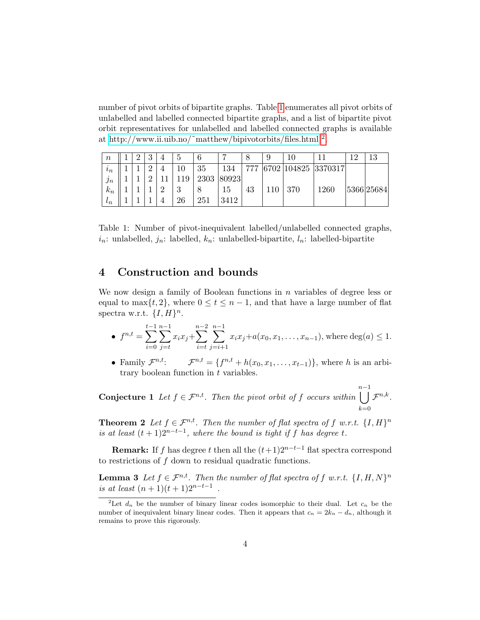number of pivot orbits of bipartite graphs. Table [1](#page-3-0) enumerates all pivot orbits of unlabelled and labelled connected bipartite graphs, and a list of bipartite pivot orbit representatives for unlabelled and labelled connected graphs is available at http://www.ii.uib.no/~matthew/bipivotorbits/files.html  $^2$  $^2$ .

| $\boldsymbol{n}$        | ົ | U        | 4           | 5       |      |                      |     |      |        |         | 1 ດ | 13         |
|-------------------------|---|----------|-------------|---------|------|----------------------|-----|------|--------|---------|-----|------------|
| $\imath_n$              |   | $\Omega$ |             | 10      | 35   | 134                  | 777 | 6702 | 104825 | 3370317 |     |            |
| $\bullet$<br>$\jmath_n$ |   |          |             | 19      | 2303 | $\left 80923\right $ |     |      |        |         |     |            |
| $k_n$                   |   |          | $\Omega$    | റ<br>IJ |      | 15                   | 43  | 110  | 370    | 1260    |     | 5366 25684 |
| $\iota_n$               |   |          | $\mathbf 4$ | 26      | 251  | 3412                 |     |      |        |         |     |            |

<span id="page-3-0"></span>Table 1: Number of pivot-inequivalent labelled/unlabelled connected graphs,  $i_n$ : unlabelled,  $j_n$ : labelled,  $k_n$ : unlabelled-bipartite,  $l_n$ : labelled-bipartite

## 4 Construction and bounds

We now design a family of Boolean functions in  $n$  variables of degree less or equal to max $\{t, 2\}$ , where  $0 \le t \le n - 1$ , and that have a large number of flat spectra w.r.t.  $\{I, H\}^n$ .

• 
$$
f^{n,t} = \sum_{i=0}^{t-1} \sum_{j=t}^{n-1} x_i x_j + \sum_{i=t}^{n-2} \sum_{j=i+1}^{n-1} x_i x_j + a(x_0, x_1, \dots, x_{n-1}),
$$
 where  $deg(a) \leq 1$ .

• Family  $\mathcal{F}^{n,t}$ :  $\mathcal{F}^{n,t} = \{f^{n,t} + h(x_0, x_1, \dots, x_{t-1})\}$ , where h is an arbitrary boolean function in  $t$  variables.

**Conjecture 1** Let  $f \in \mathcal{F}^{n,t}$ . Then the pivot orbit of f occurs within  $\bigcup^{n-1}$  f<sup>n,k</sup>.  $_{k=0}$ 

**Theorem 2** Let  $f \in \mathcal{F}^{n,t}$ . Then the number of flat spectra of f w.r.t.  $\{I, H\}^n$ is at least  $(t + 1)2^{n-t-1}$ , where the bound is tight if f has degree t.

**Remark:** If f has degree t then all the  $(t+1)2^{n-t-1}$  flat spectra correspond to restrictions of  $f$  down to residual quadratic functions.

**Lemma 3** Let  $f \in \mathcal{F}^{n,t}$ . Then the number of flat spectra of f w.r.t.  $\{I, H, N\}^n$ is at least  $(n + 1)(t + 1)2^{n-t-1}$ .

<span id="page-3-1"></span><sup>&</sup>lt;sup>2</sup>Let  $d_n$  be the number of binary linear codes isomorphic to their dual. Let  $c_n$  be the number of inequivalent binary linear codes. Then it appears that  $c_n = 2k_n - d_n$ , although it remains to prove this rigorously.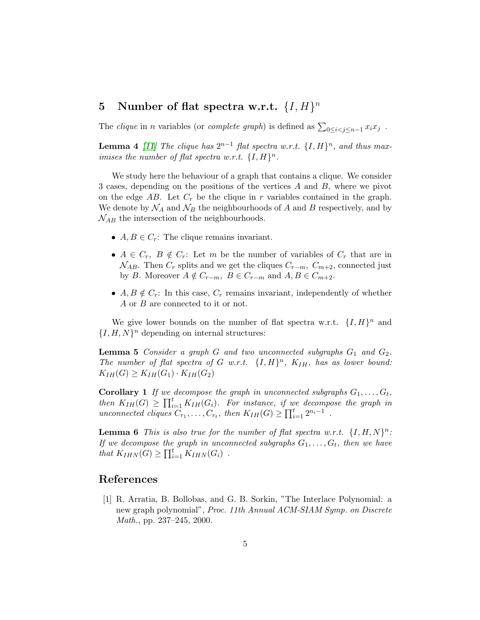# 5 Number of flat spectra w.r.t.  $\{I, H\}^n$

The *clique* in *n* variables (or *complete graph*) is defined as  $\sum_{0 \le i < j \le n-1} x_i x_j$ .

**Lemma 4** [\[11\]](#page-5-9) The clique has  $2^{n-1}$  flat spectra w.r.t.  $\{I, H\}^n$ , and thus maximises the number of flat spectra w.r.t.  $\{I, H\}^n$ .

We study here the behaviour of a graph that contains a clique. We consider 3 cases, depending on the positions of the vertices A and B, where we pivot on the edge  $AB$ . Let  $C_r$  be the clique in r variables contained in the graph. We denote by  $\mathcal{N}_A$  and  $\mathcal{N}_B$  the neighbourhoods of A and B respectively, and by  $\mathcal{N}_{AB}$  the intersection of the neighbourhoods.

- $A, B \in C_r$ : The clique remains invariant.
- $A \in C_r$ ,  $B \notin C_r$ : Let m be the number of variables of  $C_r$  that are in  $\mathcal{N}_{AB}$ . Then  $C_r$  splits and we get the cliques  $C_{r-m}$ ,  $C_{m+2}$ , connected just by B. Moreover  $A \notin C_{r-m}$ ,  $B \in C_{r-m}$  and  $A, B \in C_{m+2}$ .
- $A, B \notin C_r$ : In this case,  $C_r$  remains invariant, independently of whether A or B are connected to it or not.

We give lower bounds on the number of flat spectra w.r.t.  $\{I, H\}^n$  and  $\{I, H, N\}^n$  depending on internal structures:

**Lemma 5** Consider a graph G and two unconnected subgraphs  $G_1$  and  $G_2$ . The number of flat spectra of G w.r.t.  $\{I, H\}^n$ ,  $K_{IH}$ , has as lower bound:  $K_{IH}(G) \geq K_{IH}(G_1) \cdot K_{IH}(G_2)$ 

**Corollary 1** If we decompose the graph in unconnected subgraphs  $G_1, \ldots, G_t$ , then  $K_{IH}(G) \geq \prod_{i=1}^{t} K_{IH}(G_i)$ . For instance, if we decompose the graph in unconnected cliques  $C_{r_1}, \ldots, C_{r_t}$ , then  $K_{IH}(G) \geq \prod_{i=1}^t 2^{n_i-1}$ .

**Lemma 6** This is also true for the number of flat spectra w.r.t.  $\{I, H, N\}^n$ : If we decompose the graph in unconnected subgraphs  $G_1, \ldots, G_t$ , then we have that  $K_{IHN}(G) \ge \prod_{i=1}^t K_{IHN}(G_i)$ .

### References

<span id="page-4-0"></span>[1] R. Arratia, B. Bollobas, and G. B. Sorkin, "The Interlace Polynomial: a new graph polynomial", Proc. 11th Annual ACM-SIAM Symp. on Discrete Math., pp. 237–245, 2000.